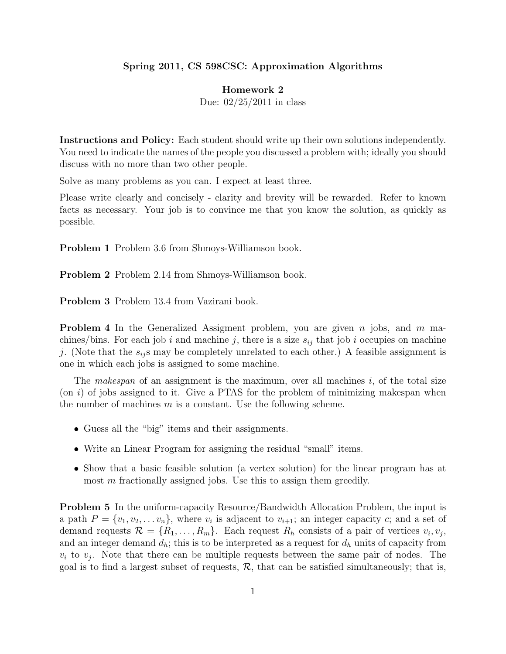## Spring 2011, CS 598CSC: Approximation Algorithms

## Homework 2

Due: 02/25/2011 in class

Instructions and Policy: Each student should write up their own solutions independently. You need to indicate the names of the people you discussed a problem with; ideally you should discuss with no more than two other people.

Solve as many problems as you can. I expect at least three.

Please write clearly and concisely - clarity and brevity will be rewarded. Refer to known facts as necessary. Your job is to convince me that you know the solution, as quickly as possible.

Problem 1 Problem 3.6 from Shmoys-Williamson book.

Problem 2 Problem 2.14 from Shmoys-Williamson book.

Problem 3 Problem 13.4 from Vazirani book.

**Problem 4** In the Generalized Assigment problem, you are given n jobs, and m machines/bins. For each job i and machine j, there is a size  $s_{ij}$  that job i occupies on machine j. (Note that the  $s_{ij}$  may be completely unrelated to each other.) A feasible assignment is one in which each jobs is assigned to some machine.

The *makespan* of an assignment is the maximum, over all machines i, of the total size (on  $i$ ) of jobs assigned to it. Give a PTAS for the problem of minimizing makespan when the number of machines  $m$  is a constant. Use the following scheme.

- Guess all the "big" items and their assignments.
- Write an Linear Program for assigning the residual "small" items.
- Show that a basic feasible solution (a vertex solution) for the linear program has at most  $m$  fractionally assigned jobs. Use this to assign them greedily.

Problem 5 In the uniform-capacity Resource/Bandwidth Allocation Problem, the input is a path  $P = \{v_1, v_2, \ldots v_n\}$ , where  $v_i$  is adjacent to  $v_{i+1}$ ; an integer capacity c; and a set of demand requests  $\mathcal{R} = \{R_1, \ldots, R_m\}$ . Each request  $R_h$  consists of a pair of vertices  $v_i, v_j$ , and an integer demand  $d_h$ ; this is to be interpreted as a request for  $d_h$  units of capacity from  $v_i$  to  $v_j$ . Note that there can be multiple requests between the same pair of nodes. The goal is to find a largest subset of requests,  $\mathcal{R}$ , that can be satisfied simultaneously; that is,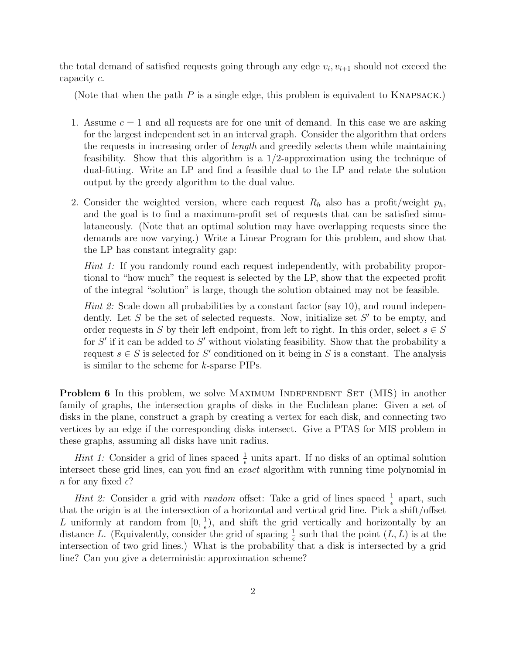the total demand of satisfied requests going through any edge  $v_i, v_{i+1}$  should not exceed the capacity c.

(Note that when the path  $P$  is a single edge, this problem is equivalent to KNAPSACK.)

- 1. Assume  $c = 1$  and all requests are for one unit of demand. In this case we are asking for the largest independent set in an interval graph. Consider the algorithm that orders the requests in increasing order of length and greedily selects them while maintaining feasibility. Show that this algorithm is a 1/2-approximation using the technique of dual-fitting. Write an LP and find a feasible dual to the LP and relate the solution output by the greedy algorithm to the dual value.
- 2. Consider the weighted version, where each request  $R_h$  also has a profit/weight  $p_h$ , and the goal is to find a maximum-profit set of requests that can be satisfied simulataneously. (Note that an optimal solution may have overlapping requests since the demands are now varying.) Write a Linear Program for this problem, and show that the LP has constant integrality gap:

Hint 1: If you randomly round each request independently, with probability proportional to "how much" the request is selected by the LP, show that the expected profit of the integral "solution" is large, though the solution obtained may not be feasible.

*Hint 2:* Scale down all probabilities by a constant factor (say 10), and round independently. Let  $S$  be the set of selected requests. Now, initialize set  $S'$  to be empty, and order requests in S by their left endpoint, from left to right. In this order, select  $s \in S$ for  $S'$  if it can be added to  $S'$  without violating feasibility. Show that the probability a request  $s \in S$  is selected for S' conditioned on it being in S is a constant. The analysis is similar to the scheme for k-sparse PIPs.

**Problem 6** In this problem, we solve MAXIMUM INDEPENDENT SET (MIS) in another family of graphs, the intersection graphs of disks in the Euclidean plane: Given a set of disks in the plane, construct a graph by creating a vertex for each disk, and connecting two vertices by an edge if the corresponding disks intersect. Give a PTAS for MIS problem in these graphs, assuming all disks have unit radius.

*Hint 1:* Consider a grid of lines spaced  $\frac{1}{\epsilon}$  units apart. If no disks of an optimal solution intersect these grid lines, can you find an *exact* algorithm with running time polynomial in n for any fixed  $\epsilon$ ?

*Hint 2:* Consider a grid with *random* offset: Take a grid of lines spaced  $\frac{1}{\epsilon}$  apart, such that the origin is at the intersection of a horizontal and vertical grid line. Pick a shift/offset L uniformly at random from  $[0, \frac{1}{\epsilon}]$  $\frac{1}{\epsilon}$ , and shift the grid vertically and horizontally by an distance L. (Equivalently, consider the grid of spacing  $\frac{1}{\epsilon}$  such that the point  $(L, L)$  is at the intersection of two grid lines.) What is the probability that a disk is intersected by a grid line? Can you give a deterministic approximation scheme?